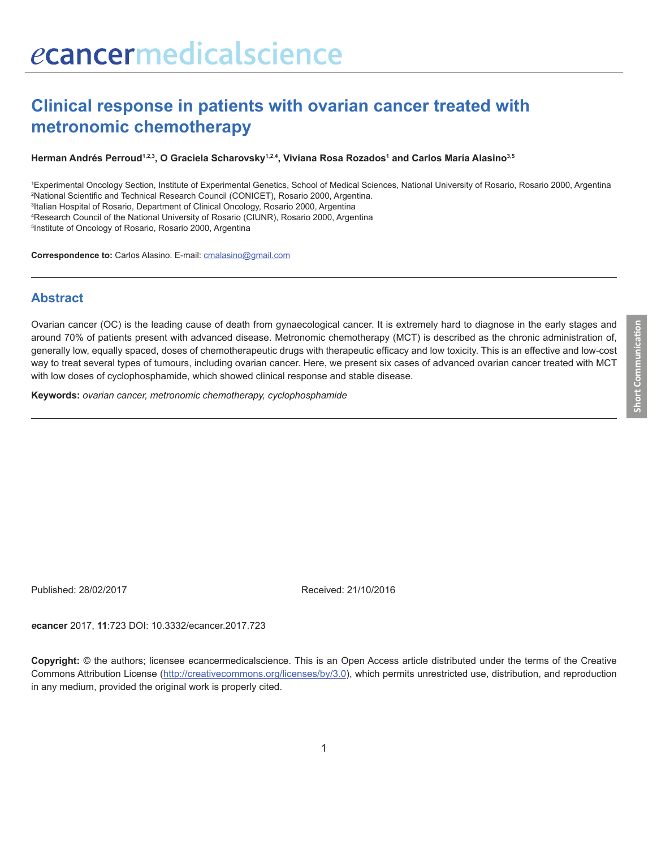# **Clinical response in patients with ovarian cancer treated with metronomic chemotherapy**

#### **Herman Andrés Perroud1,2,3, O Graciela Scharovsky1,2,4, Viviana Rosa Rozados1 and Carlos María Alasino3,5**

 Experimental Oncology Section, Institute of Experimental Genetics, School of Medical Sciences, National University of Rosario, Rosario 2000, Argentina National Scientific and Technical Research Council (CONICET), Rosario 2000, Argentina. Italian Hospital of Rosario, Department of Clinical Oncology, Rosario 2000, Argentina Research Council of the National University of Rosario (CIUNR), Rosario 2000, Argentina Institute of Oncology of Rosario, Rosario 2000, Argentina

**Correspondence to:** Carlos Alasino. E-mail: cmalasino@gmail.com

#### **Abstract**

Ovarian cancer (OC) is the leading cause of death from gynaecological cancer. It is extremely hard to diagnose in the early stages and around 70% of patients present with advanced disease. Metronomic chemotherapy (MCT) is described as the chronic administration of, generally low, equally spaced, doses of chemotherapeutic drugs with therapeutic efficacy and low toxicity. This is an effective and low-cost way to treat several types of tumours, including ovarian cancer. Here, we present six cases of advanced ovarian cancer treated with MCT with low doses of cyclophosphamide, which showed clinical response and stable disease.

**Keywords:** *ovarian cancer, metronomic chemotherapy, cyclophosphamide*

Published: 28/02/2017 Received: 21/10/2016

*e***cancer** 2017, **11**:723 DOI: 10.3332/ecancer.2017.723

**Copyright:** © the authors; licensee *e*cancermedicalscience. This is an Open Access article distributed under the terms of the Creative Commons Attribution License (http://creativecommons.org/licenses/by/3.0), which permits unrestricted use, distribution, and reproduction in any medium, provided the original work is properly cited.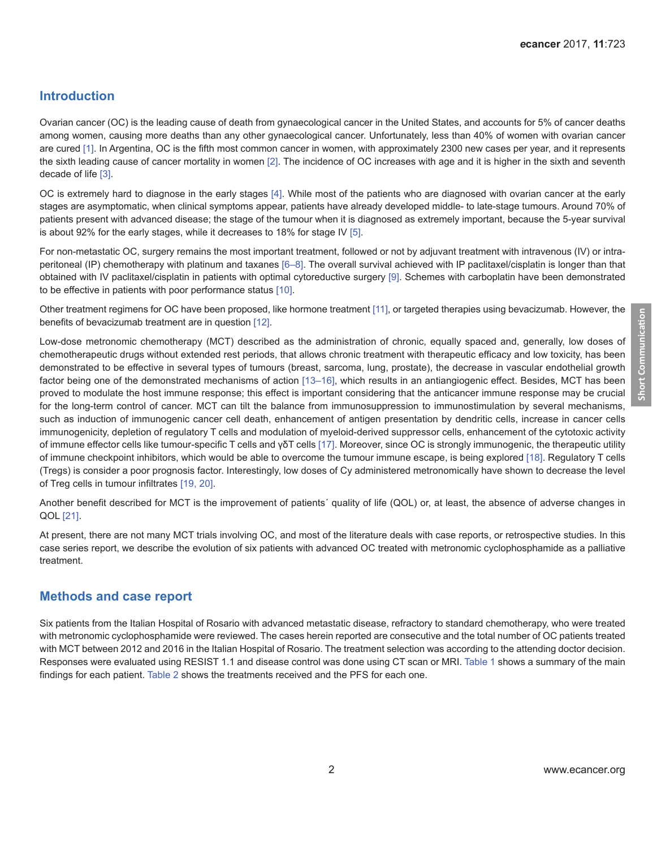### **Introduction**

Ovarian cancer (OC) is the leading cause of death from gynaecological cancer in the United States, and accounts for 5% of cancer deaths among women, causing more deaths than any other gynaecological cancer. Unfortunately, less than 40% of women with ovarian cancer are cured [\[1\]](#page-6-0). In Argentina, OC is the fifth most common cancer in women, with approximately 2300 new cases per year, and it represents the sixth leading cause of cancer mortality in women [\[2\]](#page-6-0). The incidence of OC increases with age and it is higher in the sixth and seventh decade of life [\[3\]](#page-6-0).

OC is extremely hard to diagnose in the early stages [\[4\].](#page-6-0) While most of the patients who are diagnosed with ovarian cancer at the early stages are asymptomatic, when clinical symptoms appear, patients have already developed middle- to late-stage tumours. Around 70% of patients present with advanced disease; the stage of the tumour when it is diagnosed as extremely important, because the 5-year survival is about 92% for the early stages, while it decreases to 18% for stage IV [\[5\]](#page-6-0).

For non-metastatic OC, surgery remains the most important treatment, followed or not by adjuvant treatment with intravenous (IV) or intraperitoneal (IP) chemotherapy with platinum and taxanes [\[6–](#page-6-0)[8\].](#page-7-0) The overall survival achieved with IP paclitaxel/cisplatin is longer than that obtained with IV paclitaxel/cisplatin in patients with optimal cytoreductive surgery [\[9\]](#page-7-0). Schemes with carboplatin have been demonstrated to be effective in patients with poor performance status [\[10\]](#page-7-0).

Other treatment regimens for OC have been proposed, like hormone treatment [\[11\],](#page-7-0) or targeted therapies using bevacizumab. However, the benefits of bevacizumab treatment are in question [\[12\]](#page-7-0).

Low-dose metronomic chemotherapy (MCT) described as the administration of chronic, equally spaced and, generally, low doses of chemotherapeutic drugs without extended rest periods, that allows chronic treatment with therapeutic efficacy and low toxicity, has been demonstrated to be effective in several types of tumours (breast, sarcoma, lung, prostate), the decrease in vascular endothelial growth factor being one of the demonstrated mechanisms of action [13-16], which results in an antiangiogenic effect. Besides, MCT has been proved to modulate the host immune response; this effect is important considering that the anticancer immune response may be crucial for the long-term control of cancer. MCT can tilt the balance from immunosuppression to immunostimulation by several mechanisms, such as induction of immunogenic cancer cell death, enhancement of antigen presentation by dendritic cells, increase in cancer cells immunogenicity, depletion of regulatory T cells and modulation of myeloid-derived suppressor cells, enhancement of the cytotoxic activity of immune effector cells like tumour-specific T cells and γδT cells [\[17\].](#page-7-0) Moreover, since OC is strongly immunogenic, the therapeutic utility of immune checkpoint inhibitors, which would be able to overcome the tumour immune escape, is being explored [\[18\].](#page-7-0) Regulatory T cells (Tregs) is consider a poor prognosis factor. Interestingly, low doses of Cy administered metronomically have shown to decrease the level of Treg cells in tumour infiltrates [\[19,](#page-7-0) [20\].](#page-7-0)

Another benefit described for MCT is the improvement of patients´ quality of life (QOL) or, at least, the absence of adverse changes in QOL [\[21\].](#page-7-0)

At present, there are not many MCT trials involving OC, and most of the literature deals with case reports, or retrospective studies. In this case series report, we describe the evolution of six patients with advanced OC treated with metronomic cyclophosphamide as a palliative treatment.

#### **Methods and case report**

Six patients from the Italian Hospital of Rosario with advanced metastatic disease, refractory to standard chemotherapy, who were treated with metronomic cyclophosphamide were reviewed. The cases herein reported are consecutive and the total number of OC patients treated with MCT between 2012 and 2016 in the Italian Hospital of Rosario. The treatment selection was according to the attending doctor decision. Responses were evaluated using RESIST 1.1 and disease control was done using CT scan or MRI. [Table 1](#page-2-0) shows a summary of the main findings for each patient. [Table 2](#page-2-0) shows the treatments received and the PFS for each one.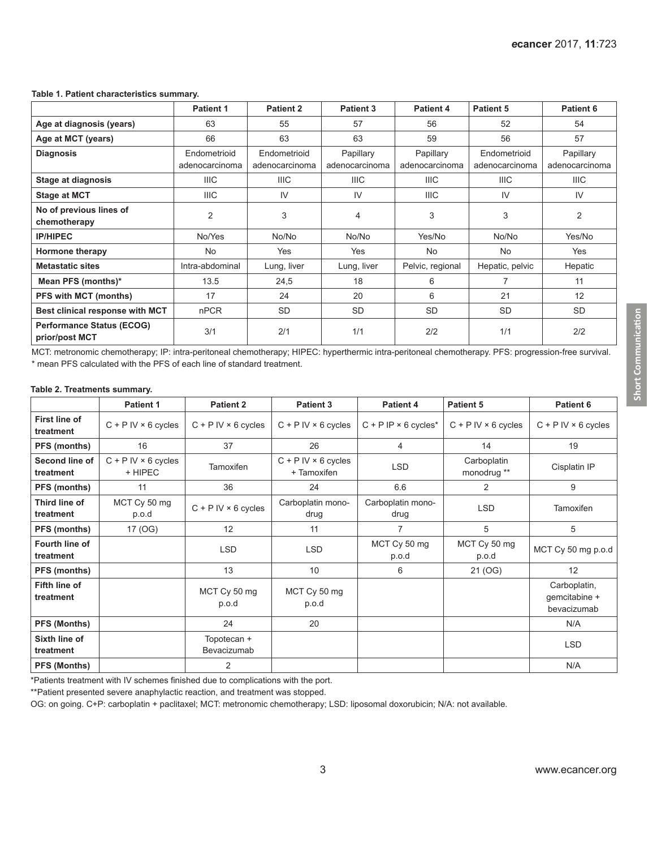#### <span id="page-2-0"></span>**Table 1. Patient characteristics summary.**

|                                                    | <b>Patient 1</b> | <b>Patient 2</b> | <b>Patient 3</b> | <b>Patient 4</b> | <b>Patient 5</b> | Patient 6      |
|----------------------------------------------------|------------------|------------------|------------------|------------------|------------------|----------------|
| Age at diagnosis (years)                           | 63               | 55               | 57               | 56               | 52               | 54             |
| Age at MCT (years)                                 | 66               | 63               | 63               | 59               | 56               | 57             |
| <b>Diagnosis</b>                                   | Endometrioid     | Endometrioid     | Papillary        | Papillary        | Endometrioid     | Papillary      |
|                                                    | adenocarcinoma   | adenocarcinoma   | adenocarcinoma   | adenocarcinoma   | adenocarcinoma   | adenocarcinoma |
| <b>Stage at diagnosis</b>                          | <b>IIIC</b>      | <b>IIIC</b>      | IIIC             | <b>IIIC</b>      | <b>IIIC</b>      | <b>IIIC</b>    |
| <b>Stage at MCT</b>                                | <b>IIIC</b>      | IV               | IV               | <b>IIIC</b>      | IV               | IV             |
| No of previous lines of<br>chemotherapy            | 2                | 3                | 4                | 3                | 3                | 2              |
| <b>IP/HIPEC</b>                                    | No/Yes           | No/No            | No/No            | Yes/No           | No/No            | Yes/No         |
| Hormone therapy                                    | No               | Yes              | Yes              | No               | No               | Yes            |
| <b>Metastatic sites</b>                            | Intra-abdominal  | Lung, liver      | Lung, liver      | Pelvic, regional | Hepatic, pelvic  | Hepatic        |
| Mean PFS (months)*                                 | 13.5             | 24,5             | 18               | 6                | 7                | 11             |
| <b>PFS with MCT (months)</b>                       | 17               | 24               | 20               | 6                | 21               | 12             |
| Best clinical response with MCT                    | <b>nPCR</b>      | <b>SD</b>        | <b>SD</b>        | <b>SD</b>        | <b>SD</b>        | <b>SD</b>      |
| <b>Performance Status (ECOG)</b><br>prior/post MCT | 3/1              | 2/1              | 1/1              | 2/2              | 1/1              | 2/2            |

MCT: metronomic chemotherapy; IP: intra-peritoneal chemotherapy; HIPEC: hyperthermic intra-peritoneal chemotherapy. PFS: progression-free survival. \* mean PFS calculated with the PFS of each line of standard treatment.

#### **Table 2. Treatments summary.**

|                                   | <b>Patient 1</b>                        | <b>Patient 2</b>             | <b>Patient 3</b>                            | <b>Patient 4</b>                          | <b>Patient 5</b>             | Patient 6                                    |
|-----------------------------------|-----------------------------------------|------------------------------|---------------------------------------------|-------------------------------------------|------------------------------|----------------------------------------------|
| <b>First line of</b><br>treatment | $C + P$ IV $\times$ 6 cycles            | $C + P$ IV $\times$ 6 cycles | $C + P$ IV $\times$ 6 cycles                | $C + P$ IP $\times$ 6 cycles <sup>*</sup> | $C + P$ IV $\times$ 6 cycles | $C + P$ IV $\times$ 6 cycles                 |
| PFS (months)                      | 16                                      | 37                           | 26                                          | 4                                         | 14                           | 19                                           |
| Second line of<br>treatment       | $C + P$ IV $\times$ 6 cycles<br>+ HIPEC | <b>Tamoxifen</b>             | $C + P$ IV $\times$ 6 cycles<br>+ Tamoxifen | <b>LSD</b>                                | Carboplatin<br>monodrug **   | Cisplatin IP                                 |
| PFS (months)                      | 11                                      | 36                           | 24                                          | 6.6                                       | $\overline{2}$               | 9                                            |
| Third line of<br>treatment        | MCT Cy 50 mg<br>p.o.d                   | $C + P$ IV $\times$ 6 cycles | Carboplatin mono-<br>drug                   | Carboplatin mono-<br>drug                 | <b>LSD</b>                   | Tamoxifen                                    |
| PFS (months)                      | 17 (OG)                                 | 12                           | 11                                          | 7                                         | 5                            | 5                                            |
| Fourth line of<br>treatment       |                                         | <b>LSD</b>                   | <b>LSD</b>                                  | MCT Cy 50 mg<br>p.o.d                     | MCT Cy 50 mg<br>p.o.d        | MCT Cy 50 mg p.o.d                           |
| PFS (months)                      |                                         | 13                           | 10                                          | 6                                         | 21 (OG)                      | 12                                           |
| <b>Fifth line of</b><br>treatment |                                         | MCT Cy 50 mg<br>p.o.d        | MCT Cy 50 mg<br>p.o.d                       |                                           |                              | Carboplatin,<br>gemcitabine +<br>bevacizumab |
| PFS (Months)                      |                                         | 24                           | 20                                          |                                           |                              | N/A                                          |
| Sixth line of<br>treatment        |                                         | Topotecan +<br>Bevacizumab   |                                             |                                           |                              | <b>LSD</b>                                   |
| <b>PFS (Months)</b>               |                                         | 2                            |                                             |                                           |                              | N/A                                          |

\*Patients treatment with IV schemes finished due to complications with the port.

\*\*Patient presented severe anaphylactic reaction, and treatment was stopped.

OG: on going. C+P: carboplatin + paclitaxel; MCT: metronomic chemotherapy; LSD: liposomal doxorubicin; N/A: not available.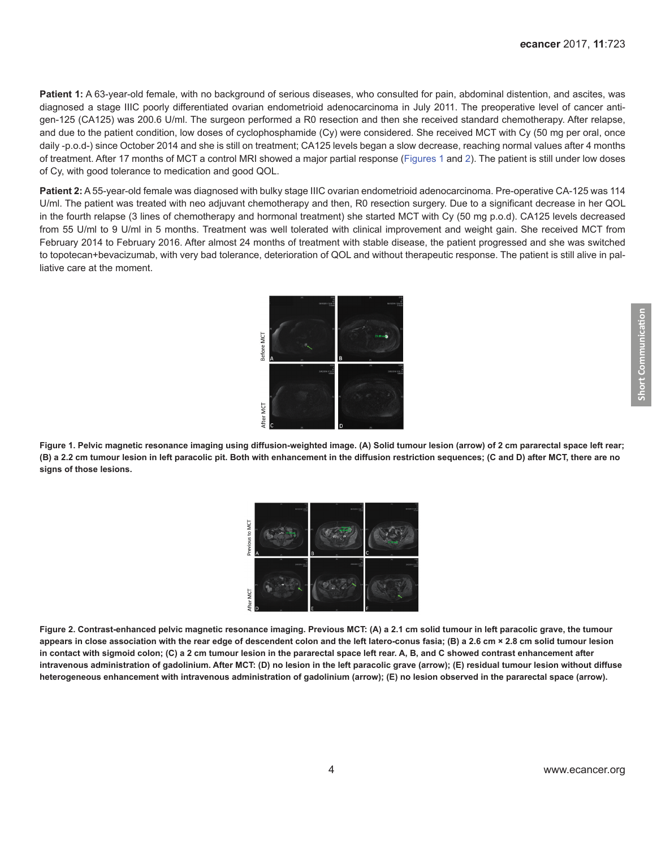Patient 1: A 63-year-old female, with no background of serious diseases, who consulted for pain, abdominal distention, and ascites, was diagnosed a stage IIIC poorly differentiated ovarian endometrioid adenocarcinoma in July 2011. The preoperative level of cancer antigen-125 (CA125) was 200.6 U/ml. The surgeon performed a R0 resection and then she received standard chemotherapy. After relapse, and due to the patient condition, low doses of cyclophosphamide (Cy) were considered. She received MCT with Cy (50 mg per oral, once daily -p.o.d-) since October 2014 and she is still on treatment; CA125 levels began a slow decrease, reaching normal values after 4 months of treatment. After 17 months of MCT a control MRI showed a major partial response (Figures 1 and 2). The patient is still under low doses of Cy, with good tolerance to medication and good QOL.

**Patient 2:** A 55-year-old female was diagnosed with bulky stage IIIC ovarian endometrioid adenocarcinoma. Pre-operative CA-125 was 114 U/ml. The patient was treated with neo adjuvant chemotherapy and then, R0 resection surgery. Due to a significant decrease in her QOL in the fourth relapse (3 lines of chemotherapy and hormonal treatment) she started MCT with Cy (50 mg p.o.d). CA125 levels decreased from 55 U/ml to 9 U/ml in 5 months. Treatment was well tolerated with clinical improvement and weight gain. She received MCT from February 2014 to February 2016. After almost 24 months of treatment with stable disease, the patient progressed and she was switched to topotecan+bevacizumab, with very bad tolerance, deterioration of QOL and without therapeutic response. The patient is still alive in palliative care at the moment.



**Figure 1. Pelvic magnetic resonance imaging using diffusion-weighted image. (A) Solid tumour lesion (arrow) of 2 cm pararectal space left rear; (B) a 2.2 cm tumour lesion in left paracolic pit. Both with enhancement in the diffusion restriction sequences; (C and D) after MCT, there are no signs of those lesions.**



**Figure 2. Contrast-enhanced pelvic magnetic resonance imaging. Previous MCT: (A) a 2.1 cm solid tumour in left paracolic grave, the tumour appears in close association with the rear edge of descendent colon and the left latero-conus fasia; (B) a 2.6 cm × 2.8 cm solid tumour lesion in contact with sigmoid colon; (C) a 2 cm tumour lesion in the pararectal space left rear. A, B, and C showed contrast enhancement after intravenous administration of gadolinium. After MCT: (D) no lesion in the left paracolic grave (arrow); (E) residual tumour lesion without diffuse heterogeneous enhancement with intravenous administration of gadolinium (arrow); (E) no lesion observed in the pararectal space (arrow).**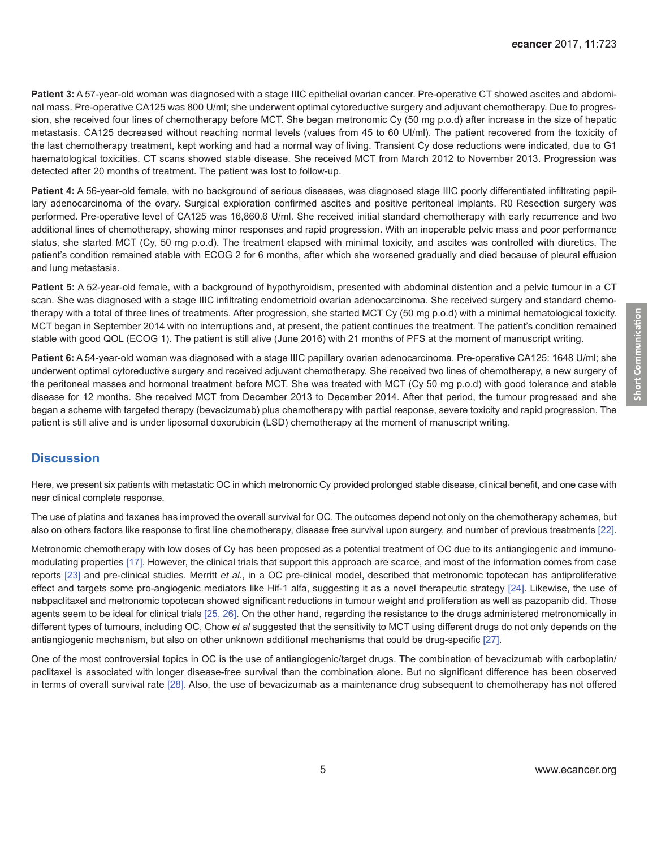Patient 3: A 57-year-old woman was diagnosed with a stage IIIC epithelial ovarian cancer. Pre-operative CT showed ascites and abdominal mass. Pre-operative CA125 was 800 U/ml; she underwent optimal cytoreductive surgery and adjuvant chemotherapy. Due to progression, she received four lines of chemotherapy before MCT. She began metronomic Cy (50 mg p.o.d) after increase in the size of hepatic metastasis. CA125 decreased without reaching normal levels (values from 45 to 60 UI/ml). The patient recovered from the toxicity of the last chemotherapy treatment, kept working and had a normal way of living. Transient Cy dose reductions were indicated, due to G1 haematological toxicities. CT scans showed stable disease. She received MCT from March 2012 to November 2013. Progression was detected after 20 months of treatment. The patient was lost to follow-up.

**Patient 4:** A 56-year-old female, with no background of serious diseases, was diagnosed stage IIIC poorly differentiated infiltrating papillary adenocarcinoma of the ovary. Surgical exploration confirmed ascites and positive peritoneal implants. R0 Resection surgery was performed. Pre-operative level of CA125 was 16,860.6 U/ml. She received initial standard chemotherapy with early recurrence and two additional lines of chemotherapy, showing minor responses and rapid progression. With an inoperable pelvic mass and poor performance status, she started MCT (Cy, 50 mg p.o.d). The treatment elapsed with minimal toxicity, and ascites was controlled with diuretics. The patient's condition remained stable with ECOG 2 for 6 months, after which she worsened gradually and died because of pleural effusion and lung metastasis.

**Patient 5:** A 52-year-old female, with a background of hypothyroidism, presented with abdominal distention and a pelvic tumour in a CT scan. She was diagnosed with a stage IIIC infiltrating endometrioid ovarian adenocarcinoma. She received surgery and standard chemotherapy with a total of three lines of treatments. After progression, she started MCT Cy (50 mg p.o.d) with a minimal hematological toxicity. MCT began in September 2014 with no interruptions and, at present, the patient continues the treatment. The patient's condition remained stable with good QOL (ECOG 1). The patient is still alive (June 2016) with 21 months of PFS at the moment of manuscript writing.

**Patient 6:** A 54-year-old woman was diagnosed with a stage IIIC papillary ovarian adenocarcinoma. Pre-operative CA125: 1648 U/ml; she underwent optimal cytoreductive surgery and received adjuvant chemotherapy. She received two lines of chemotherapy, a new surgery of the peritoneal masses and hormonal treatment before MCT. She was treated with MCT (Cy 50 mg p.o.d) with good tolerance and stable disease for 12 months. She received MCT from December 2013 to December 2014. After that period, the tumour progressed and she began a scheme with targeted therapy (bevacizumab) plus chemotherapy with partial response, severe toxicity and rapid progression. The patient is still alive and is under liposomal doxorubicin (LSD) chemotherapy at the moment of manuscript writing.

#### **Discussion**

Here, we present six patients with metastatic OC in which metronomic Cy provided prolonged stable disease, clinical benefit, and one case with near clinical complete response.

The use of platins and taxanes has improved the overall survival for OC. The outcomes depend not only on the chemotherapy schemes, but also on others factors like response to first line chemotherapy, disease free survival upon surgery, and number of previous treatments [\[22\]](#page-7-0).

Metronomic chemotherapy with low doses of Cy has been proposed as a potential treatment of OC due to its antiangiogenic and immunomodulating properties [\[17\].](#page-7-0) However, the clinical trials that support this approach are scarce, and most of the information comes from case reports [\[23\]](#page-7-0) and pre-clinical studies. Merritt *et al*., in a OC pre-clinical model, described that metronomic topotecan has antiproliferative effect and targets some pro-angiogenic mediators like Hif-1 alfa, suggesting it as a novel therapeutic strategy [\[24\].](#page-8-0) Likewise, the use of nabpaclitaxel and metronomic topotecan showed significant reductions in tumour weight and proliferation as well as pazopanib did. Those agents seem to be ideal for clinical trials [\[25,](#page-8-0) [26\]](#page-8-0). On the other hand, regarding the resistance to the drugs administered metronomically in different types of tumours, including OC, Chow *et al* suggested that the sensitivity to MCT using different drugs do not only depends on the antiangiogenic mechanism, but also on other unknown additional mechanisms that could be drug-specific [\[27\]](#page-8-0).

One of the most controversial topics in OC is the use of antiangiogenic/target drugs. The combination of bevacizumab with carboplatin/ paclitaxel is associated with longer disease-free survival than the combination alone. But no significant difference has been observed in terms of overall survival rate [\[28\]](#page-8-0). Also, the use of bevacizumab as a maintenance drug subsequent to chemotherapy has not offered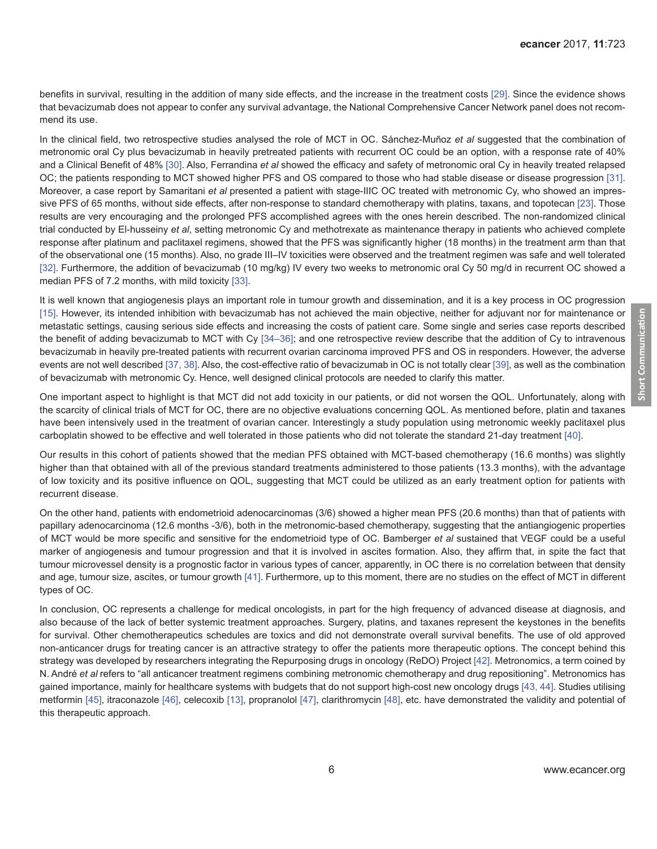benefits in survival, resulting in the addition of many side effects, and the increase in the treatment costs [\[29\].](#page-8-0) Since the evidence shows that bevacizumab does not appear to confer any survival advantage, the National Comprehensive Cancer Network panel does not recommend its use.

In the clinical field, two retrospective studies analysed the role of MCT in OC. Sánchez-Muñoz *et al* suggested that the combination of metronomic oral Cy plus bevacizumab in heavily pretreated patients with recurrent OC could be an option, with a response rate of 40% and a Clinical Benefit of 48% [\[30\].](#page-8-0) Also, Ferrandina *et al* showed the efficacy and safety of metronomic oral Cy in heavily treated relapsed OC; the patients responding to MCT showed higher PFS and OS compared to those who had stable disease or disease progression [\[31\]](#page-8-0). Moreover, a case report by Samaritani *et al* presented a patient with stage-IIIC OC treated with metronomic Cy, who showed an impressive PFS of 65 months, without side effects, after non-response to standard chemotherapy with platins, taxans, and topotecan [\[23\]](#page-7-0). Those results are very encouraging and the prolonged PFS accomplished agrees with the ones herein described. The non-randomized clinical trial conducted by El-husseiny *et al*, setting metronomic Cy and methotrexate as maintenance therapy in patients who achieved complete response after platinum and paclitaxel regimens, showed that the PFS was significantly higher (18 months) in the treatment arm than that of the observational one (15 months). Also, no grade III–IV toxicities were observed and the treatment regimen was safe and well tolerated [\[32\]](#page-8-0). Furthermore, the addition of bevacizumab (10 mg/kg) IV every two weeks to metronomic oral Cy 50 mg/d in recurrent OC showed a median PFS of 7.2 months, with mild toxicity [\[33\]](#page-8-0).

It is well known that angiogenesis plays an important role in tumour growth and dissemination, and it is a key process in OC progression [\[15\]](#page-7-0). However, its intended inhibition with bevacizumab has not achieved the main objective, neither for adjuvant nor for maintenance or metastatic settings, causing serious side effects and increasing the costs of patient care. Some single and series case reports described the benefit of adding bevacizumab to MCT with Cy [\[34–36\]](#page-8-0); and one retrospective review describe that the addition of Cy to intravenous bevacizumab in heavily pre-treated patients with recurrent ovarian carcinoma improved PFS and OS in responders. However, the adverse events are not well described [\[37, 38\].](#page-8-0) Also, the cost-effective ratio of bevacizumab in OC is not totally clear [\[39\]](#page-9-0), as well as the combination of bevacizumab with metronomic Cy. Hence, well designed clinical protocols are needed to clarify this matter.

One important aspect to highlight is that MCT did not add toxicity in our patients, or did not worsen the QOL. Unfortunately, along with the scarcity of clinical trials of MCT for OC, there are no objective evaluations concerning QOL. As mentioned before, platin and taxanes have been intensively used in the treatment of ovarian cancer. Interestingly a study population using metronomic weekly paclitaxel plus carboplatin showed to be effective and well tolerated in those patients who did not tolerate the standard 21-day treatment [\[40\]](#page-9-0).

Our results in this cohort of patients showed that the median PFS obtained with MCT-based chemotherapy (16.6 months) was slightly higher than that obtained with all of the previous standard treatments administered to those patients (13.3 months), with the advantage of low toxicity and its positive influence on QOL, suggesting that MCT could be utilized as an early treatment option for patients with recurrent disease.

On the other hand, patients with endometrioid adenocarcinomas (3/6) showed a higher mean PFS (20.6 months) than that of patients with papillary adenocarcinoma (12.6 months -3/6), both in the metronomic-based chemotherapy, suggesting that the antiangiogenic properties of MCT would be more specific and sensitive for the endometrioid type of OC. Bamberger *et al* sustained that VEGF could be a useful marker of angiogenesis and tumour progression and that it is involved in ascites formation. Also, they affirm that, in spite the fact that tumour microvessel density is a prognostic factor in various types of cancer, apparently, in OC there is no correlation between that density and age, tumour size, ascites, or tumour growth [\[41\].](#page-9-0) Furthermore, up to this moment, there are no studies on the effect of MCT in different types of OC.

In conclusion, OC represents a challenge for medical oncologists, in part for the high frequency of advanced disease at diagnosis, and also because of the lack of better systemic treatment approaches. Surgery, platins, and taxanes represent the keystones in the benefits for survival. Other chemotherapeutics schedules are toxics and did not demonstrate overall survival benefits. The use of old approved non-anticancer drugs for treating cancer is an attractive strategy to offer the patients more therapeutic options. The concept behind this strategy was developed by researchers integrating the Repurposing drugs in oncology (ReDO) Project [\[42\].](#page-9-0) Metronomics, a term coined by N. André *et al* refers to "all anticancer treatment regimens combining metronomic chemotherapy and drug repositioning". Metronomics has gained importance, mainly for healthcare systems with budgets that do not support high-cost new oncology drugs [\[43, 44\].](#page-9-0) Studies utilising metformin [\[45\],](#page-9-0) itraconazole [\[46\]](#page-9-0), celecoxib [\[13\],](#page-7-0) propranolol [\[47\],](#page-9-0) clarithromycin [\[48\]](#page-9-0), etc. have demonstrated the validity and potential of this therapeutic approach.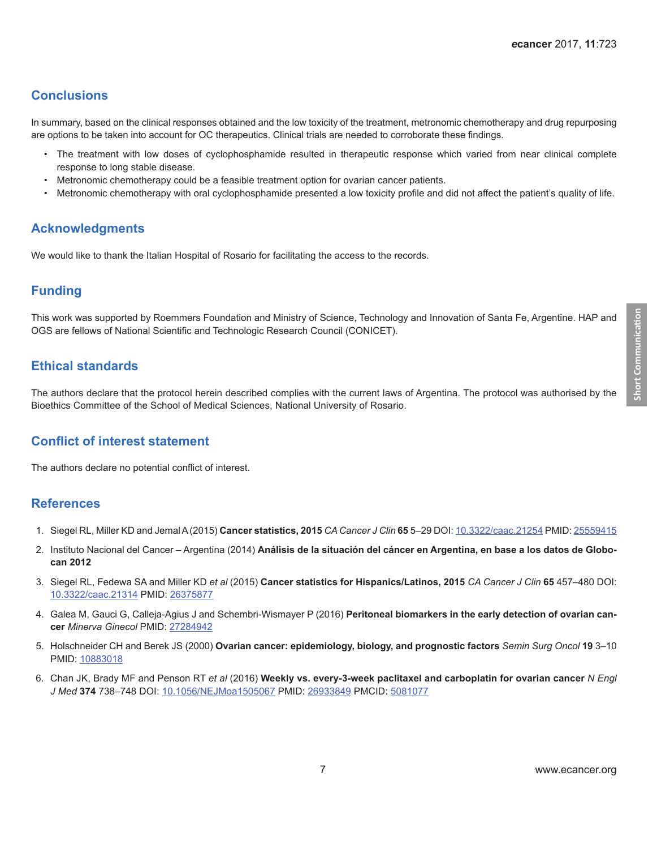## <span id="page-6-0"></span>**Conclusions**

In summary, based on the clinical responses obtained and the low toxicity of the treatment, metronomic chemotherapy and drug repurposing are options to be taken into account for OC therapeutics. Clinical trials are needed to corroborate these findings.

- The treatment with low doses of cyclophosphamide resulted in therapeutic response which varied from near clinical complete response to long stable disease.
- Metronomic chemotherapy could be a feasible treatment option for ovarian cancer patients.
- Metronomic chemotherapy with oral cyclophosphamide presented a low toxicity profile and did not affect the patient's quality of life.

### **Acknowledgments**

We would like to thank the Italian Hospital of Rosario for facilitating the access to the records.

### **Funding**

This work was supported by Roemmers Foundation and Ministry of Science, Technology and Innovation of Santa Fe, Argentine. HAP and OGS are fellows of National Scientific and Technologic Research Council (CONICET).

### **Ethical standards**

The authors declare that the protocol herein described complies with the current laws of Argentina. The protocol was authorised by the Bioethics Committee of the School of Medical Sciences, National University of Rosario.

#### **Conflict of interest statement**

The authors declare no potential conflict of interest.

#### **References**

- 1. Siegel RL, Miller KD and Jemal A (2015) **Cancer statistics, 2015** *CA Cancer J Clin* **65** 5–29 DOI: [10.3322/caac.21254](http://dx.doi.org/10.3322/caac.21254) PMID: [25559415](http://www.ncbi.nlm.nih.gov/pubmed/25559415)
- 2. Instituto Nacional del Cancer Argentina (2014) **Análisis de la situación del cáncer en Argentina, en base a los datos de Globocan 2012**
- 3. Siegel RL, Fedewa SA and Miller KD *et al* (2015) **Cancer statistics for Hispanics/Latinos, 2015** *CA Cancer J Clin* **65** 457–480 DOI: [10.3322/caac.21314](http://dx.doi.org/10.3322/caac.21314) PMID: [26375877](http://www.ncbi.nlm.nih.gov/pubmed/26375877)
- 4. Galea M, Gauci G, Calleja-Agius J and Schembri-Wismayer P (2016) **Peritoneal biomarkers in the early detection of ovarian cancer** *Minerva Ginecol* PMID: [27284942](http://www.ncbi.nlm.nih.gov/pubmed/27284942)
- 5. Holschneider CH and Berek JS (2000) **Ovarian cancer: epidemiology, biology, and prognostic factors** *Semin Surg Oncol* **19** 3–10 PMID: [10883018](http://www.ncbi.nlm.nih.gov/pubmed/10883018)
- 6. Chan JK, Brady MF and Penson RT *et al* (2016) **Weekly vs. every-3-week paclitaxel and carboplatin for ovarian cancer** *N Engl J Med* **374** 738–748 DOI: [10.1056/NEJMoa1505067](http://dx.doi.org/10.1056/NEJMoa1505067) PMID: [26933849](http://www.ncbi.nlm.nih.gov/pubmed/26933849) PMCID: [5081077](http://www.ncbi.nlm.nih.gov/pmc/articles/PMC5081077)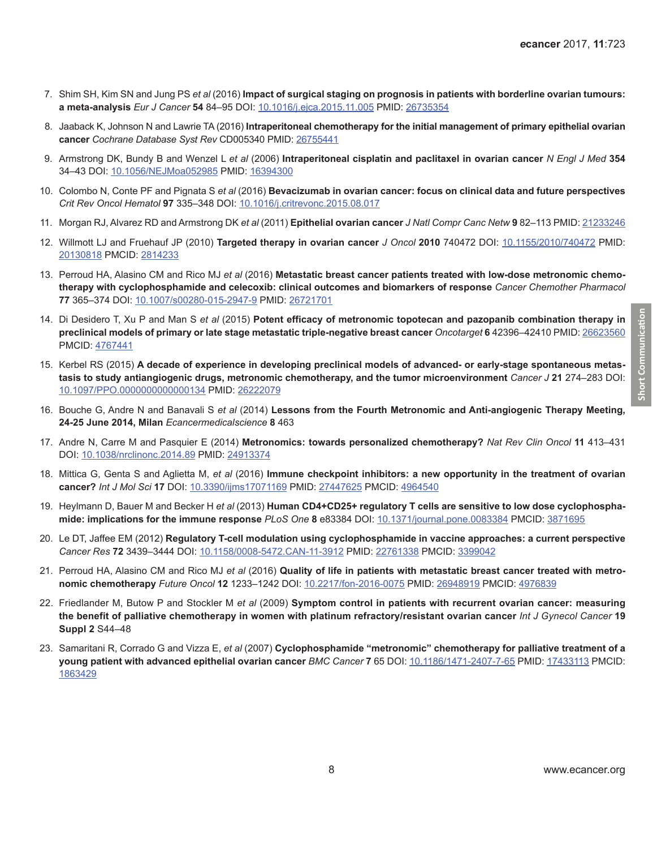- <span id="page-7-0"></span>7. Shim SH, Kim SN and Jung PS *et al* (2016) **Impact of surgical staging on prognosis in patients with borderline ovarian tumours: a meta-analysis** *Eur J Cancer* **54** 84–95 DOI: [10.1016/j.ejca.2015.11.005](http://dx.doi.org/10.1016/j.ejca.2015.11.005) PMID: [26735354](http://www.ncbi.nlm.nih.gov/pubmed/26735354)
- 8. Jaaback K, Johnson N and Lawrie TA (2016) **Intraperitoneal chemotherapy for the initial management of primary epithelial ovarian cancer** *Cochrane Database Syst Rev* CD005340 PMID: [26755441](http://www.ncbi.nlm.nih.gov/pubmed/26755441)
- 9. Armstrong DK, Bundy B and Wenzel L *et al* (2006) **Intraperitoneal cisplatin and paclitaxel in ovarian cancer** *N Engl J Med* **354**  34–43 DOI: [10.1056/NEJMoa052985](http://dx.doi.org/10.1056/NEJMoa052985) PMID: [16394300](http://www.ncbi.nlm.nih.gov/pubmed/16394300)
- 10. Colombo N, Conte PF and Pignata S *et al* (2016) **Bevacizumab in ovarian cancer: focus on clinical data and future perspectives**  *Crit Rev Oncol Hematol* **97** 335–348 DOI: [10.1016/j.critrevonc.2015.08.017](http://dx.doi.org/10.1016/j.critrevonc.2015.08.017)
- 11. Morgan RJ, Alvarez RD and Armstrong DK *et al* (2011) **Epithelial ovarian cancer** *J Natl Compr Canc Netw* **9** 82–113 PMID: [21233246](http://www.ncbi.nlm.nih.gov/pubmed/21233246)
- 12. Willmott LJ and Fruehauf JP (2010) **Targeted therapy in ovarian cancer** *J Oncol* **2010** 740472 DOI: [10.1155/2010/740472](http://dx.doi.org/10.1155/2010/740472) PMID: [20130818](http://www.ncbi.nlm.nih.gov/pubmed/20130818) PMCID: [2814233](http://www.ncbi.nlm.nih.gov/pmc/articles/PMC2814233)
- 13. Perroud HA, Alasino CM and Rico MJ *et al* (2016) **Metastatic breast cancer patients treated with low-dose metronomic chemotherapy with cyclophosphamide and celecoxib: clinical outcomes and biomarkers of response** *Cancer Chemother Pharmacol*  **77** 365–374 DOI: [10.1007/s00280-015-2947-9](http://dx.doi.org/10.1007/s00280-015-2947-9) PMID: [26721701](http://www.ncbi.nlm.nih.gov/pubmed/26721701)
- 14. Di Desidero T, Xu P and Man S *et al* (2015) **Potent efficacy of metronomic topotecan and pazopanib combination therapy in preclinical models of primary or late stage metastatic triple-negative breast cancer** *Oncotarget* **6** 42396–42410 PMID: [26623560](http://www.ncbi.nlm.nih.gov/pubmed/26623560) PMCID: [4767441](http://www.ncbi.nlm.nih.gov/pmc/articles/PMC4767441)
- 15. Kerbel RS (2015) **A decade of experience in developing preclinical models of advanced- or early-stage spontaneous metastasis to study antiangiogenic drugs, metronomic chemotherapy, and the tumor microenvironment** *Cancer J* **21** 274–283 DOI: [10.1097/PPO.0000000000000134](http://dx.doi.org/10.1097/PPO.0000000000000134) PMID: [26222079](http://www.ncbi.nlm.nih.gov/pubmed/26222079)
- 16. Bouche G, Andre N and Banavali S *et al* (2014) **Lessons from the Fourth Metronomic and Anti-angiogenic Therapy Meeting, 24-25 June 2014, Milan** *Ecancermedicalscience* **8** 463
- 17. Andre N, Carre M and Pasquier E (2014) **Metronomics: towards personalized chemotherapy?** *Nat Rev Clin Oncol* **11** 413–431 DOI: [10.1038/nrclinonc.2014.89](http://dx.doi.org/10.1038/nrclinonc.2014.89) PMID: [24913374](http://www.ncbi.nlm.nih.gov/pubmed/24913374)
- 18. Mittica G, Genta S and Aglietta M, *et al* (2016) **Immune checkpoint inhibitors: a new opportunity in the treatment of ovarian cancer?** *Int J Mol Sci* **17** DOI: [10.3390/ijms17071169](http://dx.doi.org/10.3390/ijms17071169) PMID: [27447625](http://www.ncbi.nlm.nih.gov/pubmed/27447625) PMCID: [4964540](http://www.ncbi.nlm.nih.gov/pmc/articles/PMC4964540)
- 19. Heylmann D, Bauer M and Becker H *et al* (2013) **Human CD4+CD25+ regulatory T cells are sensitive to low dose cyclophosphamide: implications for the immune response** *PLoS One* **8** e83384 DOI: [10.1371/journal.pone.0083384](http://dx.doi.org/10.1371/journal.pone.0083384) PMCID: [3871695](http://www.ncbi.nlm.nih.gov/pmc/articles/PMC3871695)
- 20. Le DT, Jaffee EM (2012) **Regulatory T-cell modulation using cyclophosphamide in vaccine approaches: a current perspective**  *Cancer Res* **72** 3439–3444 DOI: [10.1158/0008-5472.CAN-11-3912](http://dx.doi.org/10.1158/0008-5472.CAN-11-3912) PMID: [22761338](http://www.ncbi.nlm.nih.gov/pubmed/22761338) PMCID: [3399042](http://www.ncbi.nlm.nih.gov/pmc/articles/PMC3399042)
- 21. Perroud HA, Alasino CM and Rico MJ *et al* (2016) **Quality of life in patients with metastatic breast cancer treated with metronomic chemotherapy** *Future Oncol* **12** 1233–1242 DOI: [10.2217/fon-2016-0075](http://dx.doi.org/10.2217/fon-2016-0075) PMID: [26948919](http://www.ncbi.nlm.nih.gov/pubmed/26948919) PMCID: [4976839](http://www.ncbi.nlm.nih.gov/pmc/articles/PMC4976839)
- 22. Friedlander M, Butow P and Stockler M *et al* (2009) **Symptom control in patients with recurrent ovarian cancer: measuring the benefit of palliative chemotherapy in women with platinum refractory/resistant ovarian cancer** *Int J Gynecol Cancer* **19 Suppl 2** S44–48
- 23. Samaritani R, Corrado G and Vizza E, *et al* (2007) **Cyclophosphamide "metronomic" chemotherapy for palliative treatment of a young patient with advanced epithelial ovarian cancer** *BMC Cancer* **7** 65 DOI: [10.1186/1471-2407-7-65](http://dx.doi.org/10.1186/1471-2407-7-65) PMID: [17433113](http://www.ncbi.nlm.nih.gov/pubmed/17433113) PMCID: [1863429](http://www.ncbi.nlm.nih.gov/pmc/articles/PMC1863429)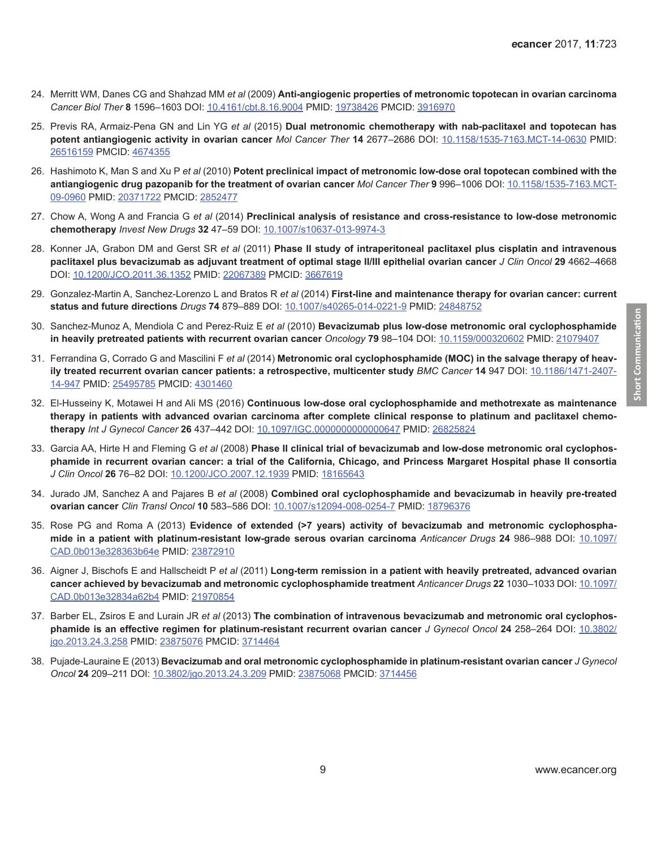- <span id="page-8-0"></span>24. Merritt WM, Danes CG and Shahzad MM *et al* (2009) **Anti-angiogenic properties of metronomic topotecan in ovarian carcinoma**  *Cancer Biol Ther* **8** 1596–1603 DOI: [10.4161/cbt.8.16.9004](http://dx.doi.org/10.4161/cbt.8.16.9004) PMID: [19738426](http://www.ncbi.nlm.nih.gov/pubmed/19738426) PMCID: [3916970](http://www.ncbi.nlm.nih.gov/pmc/articles/PMC3916970)
- 25. Previs RA, Armaiz-Pena GN and Lin YG *et al* (2015) **Dual metronomic chemotherapy with nab-paclitaxel and topotecan has potent antiangiogenic activity in ovarian cancer** *Mol Cancer Ther* **14** 2677–2686 DOI: [10.1158/1535-7163.MCT-14-0630](http://dx.doi.org/10.1158/1535-7163.MCT-14-0630) PMID: [26516159](http://www.ncbi.nlm.nih.gov/pubmed/26516159) PMCID: [4674355](http://www.ncbi.nlm.nih.gov/pmc/articles/PMC4674355)
- 26. Hashimoto K, Man S and Xu P *et al* (2010) **Potent preclinical impact of metronomic low-dose oral topotecan combined with the antiangiogenic drug pazopanib for the treatment of ovarian cancer** *Mol Cancer Ther* **9** 996–1006 DOI: [10.1158/1535-7163.MCT-](http://dx.doi.org/10.1158/1535-7163.MCT-09-0960)[09-0960](http://dx.doi.org/10.1158/1535-7163.MCT-09-0960) PMID: [20371722](http://www.ncbi.nlm.nih.gov/pubmed/20371722) PMCID: [2852477](http://www.ncbi.nlm.nih.gov/pmc/articles/PMC2852477)
- 27. Chow A, Wong A and Francia G *et al* (2014) **Preclinical analysis of resistance and cross-resistance to low-dose metronomic chemotherapy** *Invest New Drugs* **32** 47–59 DOI: [10.1007/s10637-013-9974-3](http://dx.doi.org/10.1007/s10637-013-9974-3)
- 28. Konner JA, Grabon DM and Gerst SR *et al* (2011) **Phase II study of intraperitoneal paclitaxel plus cisplatin and intravenous paclitaxel plus bevacizumab as adjuvant treatment of optimal stage II/III epithelial ovarian cancer** *J Clin Oncol* **29** 4662–4668 DOI: [10.1200/JCO.2011.36.1352](http://dx.doi.org/10.1200/JCO.2011.36.1352) PMID: [22067389](http://www.ncbi.nlm.nih.gov/pubmed/22067389) PMCID: [3667619](http://www.ncbi.nlm.nih.gov/pmc/articles/PMC3667619)
- 29. Gonzalez-Martin A, Sanchez-Lorenzo L and Bratos R *et al* (2014) **First-line and maintenance therapy for ovarian cancer: current status and future directions** *Drugs* **74** 879–889 DOI: [10.1007/s40265-014-0221-9](http://dx.doi.org/10.1007/s40265-014-0221-9) PMID: [24848752](http://www.ncbi.nlm.nih.gov/pubmed/24848752)
- 30. Sanchez-Munoz A, Mendiola C and Perez-Ruiz E *et al* (2010) **Bevacizumab plus low-dose metronomic oral cyclophosphamide in heavily pretreated patients with recurrent ovarian cancer** *Oncology* **79** 98–104 DOI: [10.1159/000320602](http://dx.doi.org/10.1159/000320602) PMID: [21079407](http://www.ncbi.nlm.nih.gov/pubmed/21079407)
- 31. Ferrandina G, Corrado G and Mascilini F *et al* (2014) **Metronomic oral cyclophosphamide (MOC) in the salvage therapy of heavily treated recurrent ovarian cancer patients: a retrospective, multicenter study** *BMC Cancer* **14** 947 DOI: [10.1186/1471-2407-](http://dx.doi.org/10.1186/1471-2407-14-947) [14-947](http://dx.doi.org/10.1186/1471-2407-14-947) PMID: [25495785](http://www.ncbi.nlm.nih.gov/pubmed/25495785) PMCID: [4301460](http://www.ncbi.nlm.nih.gov/pmc/articles/PMC4301460)
- 32. El-Husseiny K, Motawei H and Ali MS (2016) **Continuous low-dose oral cyclophosphamide and methotrexate as maintenance therapy in patients with advanced ovarian carcinoma after complete clinical response to platinum and paclitaxel chemotherapy** *Int J Gynecol Cancer* **26** 437–442 DOI: [10.1097/IGC.0000000000000647](http://dx.doi.org/10.1097/IGC.0000000000000647) PMID: [26825824](http://www.ncbi.nlm.nih.gov/pubmed/26825824)
- 33. Garcia AA, Hirte H and Fleming G *et al* (2008) **Phase II clinical trial of bevacizumab and low-dose metronomic oral cyclophosphamide in recurrent ovarian cancer: a trial of the California, Chicago, and Princess Margaret Hospital phase II consortia**  *J Clin Oncol* **26** 76–82 DOI: [10.1200/JCO.2007.12.1939](http://dx.doi.org/10.1200/JCO.2007.12.1939) PMID: [18165643](http://www.ncbi.nlm.nih.gov/pubmed/18165643)
- 34. Jurado JM, Sanchez A and Pajares B *et al* (2008) **Combined oral cyclophosphamide and bevacizumab in heavily pre-treated ovarian cancer** *Clin Transl Oncol* **10** 583–586 DOI: [10.1007/s12094-008-0254-7](http://dx.doi.org/10.1007/s12094-008-0254-7) PMID: [18796376](http://www.ncbi.nlm.nih.gov/pubmed/18796376)
- 35. Rose PG and Roma A (2013) **Evidence of extended (>7 years) activity of bevacizumab and metronomic cyclophosphamide in a patient with platinum-resistant low-grade serous ovarian carcinoma** *Anticancer Drugs* **24** 986–988 DOI: [10.1097/](http://dx.doi.org/10.1097/CAD.0b013e328363b64e) [CAD.0b013e328363b64e](http://dx.doi.org/10.1097/CAD.0b013e328363b64e) PMID: [23872910](http://www.ncbi.nlm.nih.gov/pubmed/23872910)
- 36. Aigner J, Bischofs E and Hallscheidt P *et al* (2011) **Long-term remission in a patient with heavily pretreated, advanced ovarian cancer achieved by bevacizumab and metronomic cyclophosphamide treatment** *Anticancer Drugs* **22** 1030–1033 DOI: [10.1097/](http://dx.doi.org/10.1097/CAD.0b013e32834a62b4) [CAD.0b013e32834a62b4](http://dx.doi.org/10.1097/CAD.0b013e32834a62b4) PMID: [21970854](http://www.ncbi.nlm.nih.gov/pubmed/21970854)
- 37. Barber EL, Zsiros E and Lurain JR *et al* (2013) **The combination of intravenous bevacizumab and metronomic oral cyclophosphamide is an effective regimen for platinum-resistant recurrent ovarian cancer** *J Gynecol Oncol* **24** 258–264 DOI: [10.3802/](http://dx.doi.org/10.3802/jgo.2013.24.3.258) [jgo.2013.24.3.258](http://dx.doi.org/10.3802/jgo.2013.24.3.258) PMID: [23875076](http://www.ncbi.nlm.nih.gov/pubmed/23875076) PMCID: [3714464](http://www.ncbi.nlm.nih.gov/pmc/articles/PMC3714464)
- 38. Pujade-Lauraine E (2013) **Bevacizumab and oral metronomic cyclophosphamide in platinum-resistant ovarian cancer** *J Gynecol Oncol* **24** 209–211 DOI: [10.3802/jgo.2013.24.3.209](http://dx.doi.org/10.3802/jgo.2013.24.3.209) PMID: [23875068](http://www.ncbi.nlm.nih.gov/pubmed/23875068) PMCID: [3714456](http://www.ncbi.nlm.nih.gov/pmc/articles/PMC3714456)